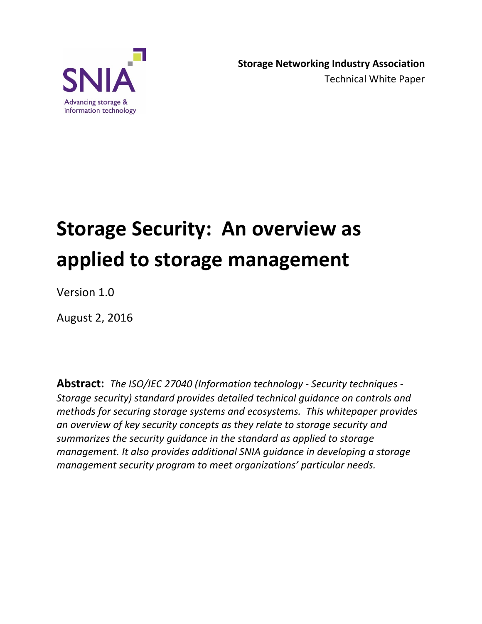

# **Storage Security: An overview as applied to storage management**

Version 1.0

August 2, 2016

**Abstract:** *The ISO/IEC 27040 (Information technology - Security techniques - Storage security) standard provides detailed technical guidance on controls and methods for securing storage systems and ecosystems. This whitepaper provides an overview of key security concepts as they relate to storage security and summarizes the security guidance in the standard as applied to storage management. It also provides additional SNIA guidance in developing a storage management security program to meet organizations' particular needs.*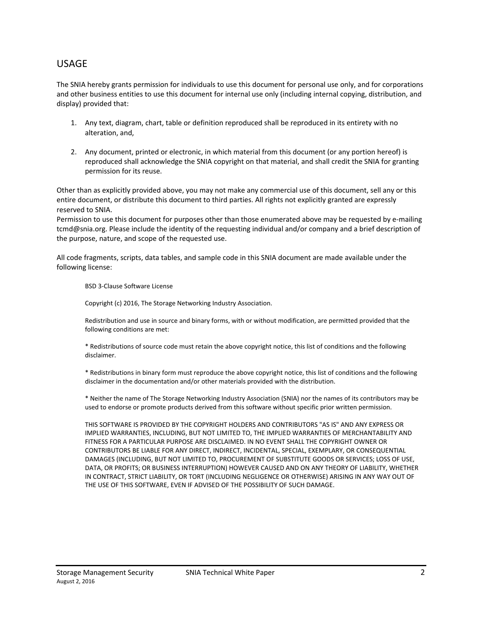#### USAGE

The SNIA hereby grants permission for individuals to use this document for personal use only, and for corporations and other business entities to use this document for internal use only (including internal copying, distribution, and display) provided that:

- 1. Any text, diagram, chart, table or definition reproduced shall be reproduced in its entirety with no alteration, and,
- 2. Any document, printed or electronic, in which material from this document (or any portion hereof) is reproduced shall acknowledge the SNIA copyright on that material, and shall credit the SNIA for granting permission for its reuse.

Other than as explicitly provided above, you may not make any commercial use of this document, sell any or this entire document, or distribute this document to third parties. All rights not explicitly granted are expressly reserved to SNIA.

Permission to use this document for purposes other than those enumerated above may be requested by e-mailing tcmd@snia.org. Please include the identity of the requesting individual and/or company and a brief description of the purpose, nature, and scope of the requested use.

All code fragments, scripts, data tables, and sample code in this SNIA document are made available under the following license:

BSD 3-Clause Software License

Copyright (c) 2016, The Storage Networking Industry Association.

Redistribution and use in source and binary forms, with or without modification, are permitted provided that the following conditions are met:

\* Redistributions of source code must retain the above copyright notice, this list of conditions and the following disclaimer.

\* Redistributions in binary form must reproduce the above copyright notice, this list of conditions and the following disclaimer in the documentation and/or other materials provided with the distribution.

\* Neither the name of The Storage Networking Industry Association (SNIA) nor the names of its contributors may be used to endorse or promote products derived from this software without specific prior written permission.

THIS SOFTWARE IS PROVIDED BY THE COPYRIGHT HOLDERS AND CONTRIBUTORS "AS IS" AND ANY EXPRESS OR IMPLIED WARRANTIES, INCLUDING, BUT NOT LIMITED TO, THE IMPLIED WARRANTIES OF MERCHANTABILITY AND FITNESS FOR A PARTICULAR PURPOSE ARE DISCLAIMED. IN NO EVENT SHALL THE COPYRIGHT OWNER OR CONTRIBUTORS BE LIABLE FOR ANY DIRECT, INDIRECT, INCIDENTAL, SPECIAL, EXEMPLARY, OR CONSEQUENTIAL DAMAGES (INCLUDING, BUT NOT LIMITED TO, PROCUREMENT OF SUBSTITUTE GOODS OR SERVICES; LOSS OF USE, DATA, OR PROFITS; OR BUSINESS INTERRUPTION) HOWEVER CAUSED AND ON ANY THEORY OF LIABILITY, WHETHER IN CONTRACT, STRICT LIABILITY, OR TORT (INCLUDING NEGLIGENCE OR OTHERWISE) ARISING IN ANY WAY OUT OF THE USE OF THIS SOFTWARE, EVEN IF ADVISED OF THE POSSIBILITY OF SUCH DAMAGE.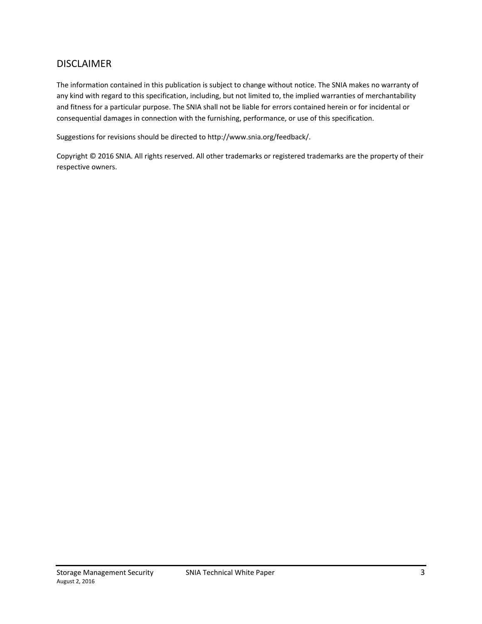#### DISCLAIMER

The information contained in this publication is subject to change without notice. The SNIA makes no warranty of any kind with regard to this specification, including, but not limited to, the implied warranties of merchantability and fitness for a particular purpose. The SNIA shall not be liable for errors contained herein or for incidental or consequential damages in connection with the furnishing, performance, or use of this specification.

Suggestions for revisions should be directed to http://www.snia.org/feedback/.

Copyright © 2016 SNIA. All rights reserved. All other trademarks or registered trademarks are the property of their respective owners.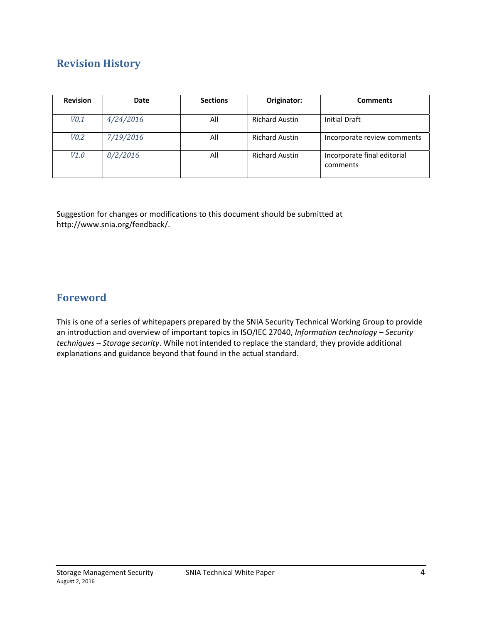# **Revision History**

| <b>Revision</b> | Date      | <b>Sections</b> | Originator:           | <b>Comments</b>                         |
|-----------------|-----------|-----------------|-----------------------|-----------------------------------------|
| V0.1            | 4/24/2016 | All             | <b>Richard Austin</b> | <b>Initial Draft</b>                    |
| V0.2            | 7/19/2016 | All             | <b>Richard Austin</b> | Incorporate review comments             |
| V1.0            | 8/2/2016  | All             | <b>Richard Austin</b> | Incorporate final editorial<br>comments |

Suggestion for changes or modifications to this document should be submitted at http://www.snia.org/feedback/.

### **Foreword**

This is one of a series of whitepapers prepared by the SNIA Security Technical Working Group to provide an introduction and overview of important topics in ISO/IEC 27040, *Information technology – Security techniques – Storage security*. While not intended to replace the standard, they provide additional explanations and guidance beyond that found in the actual standard.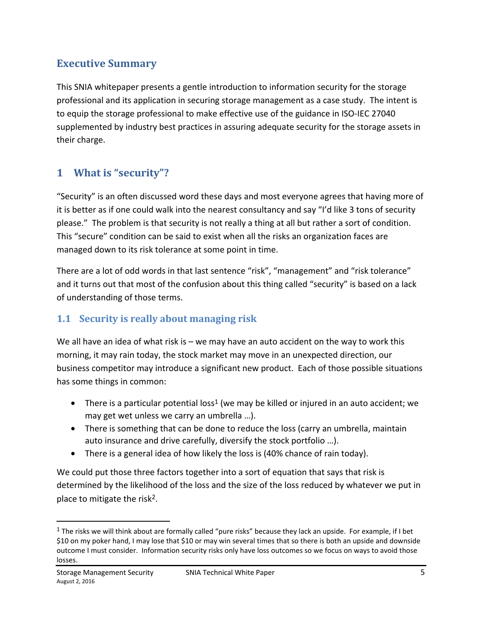# **Executive Summary**

This SNIA whitepaper presents a gentle introduction to information security for the storage professional and its application in securing storage management as a case study. The intent is to equip the storage professional to make effective use of the guidance in ISO-IEC 27040 supplemented by industry best practices in assuring adequate security for the storage assets in their charge.

# **1 What is "security"?**

"Security" is an often discussed word these days and most everyone agrees that having more of it is better as if one could walk into the nearest consultancy and say "I'd like 3 tons of security please." The problem is that security is not really a thing at all but rather a sort of condition. This "secure" condition can be said to exist when all the risks an organization faces are managed down to its risk tolerance at some point in time.

There are a lot of odd words in that last sentence "risk", "management" and "risk tolerance" and it turns out that most of the confusion about this thing called "security" is based on a lack of understanding of those terms.

# **1.1 Security is really about managing risk**

We all have an idea of what risk is  $-$  we may have an auto accident on the way to work this morning, it may rain today, the stock market may move in an unexpected direction, our business competitor may introduce a significant new product. Each of those possible situations has some things in common:

- There is a particular potential loss<sup>1</sup> (we may be killed or injured in an auto accident; we may get wet unless we carry an umbrella …).
- There is something that can be done to reduce the loss (carry an umbrella, maintain auto insurance and drive carefully, diversify the stock portfolio …).
- There is a general idea of how likely the loss is (40% chance of rain today).

We could put those three factors together into a sort of equation that says that risk is determined by the likelihood of the loss and the size of the loss reduced by whatever we put in place to mitigate the risk2.

 $1$  The risks we will think about are formally called "pure risks" because they lack an upside. For example, if I bet \$10 on my poker hand, I may lose that \$10 or may win several times that so there is both an upside and downside outcome I must consider. Information security risks only have loss outcomes so we focus on ways to avoid those losses.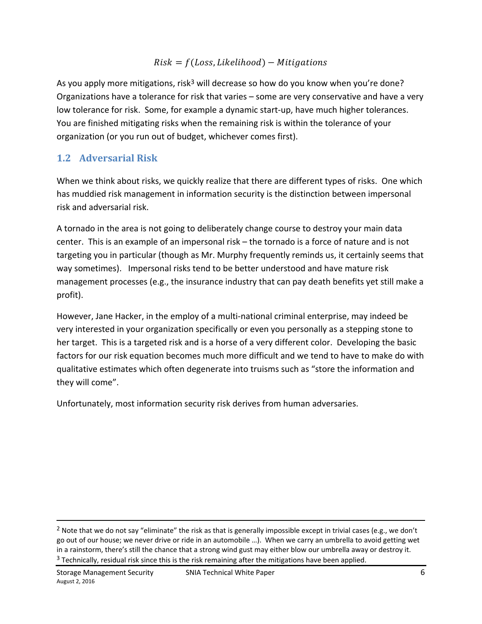#### $Risk = f(Loss, Likelihood) - Mitigations$

As you apply more mitigations, risk<sup>3</sup> will decrease so how do you know when you're done? Organizations have a tolerance for risk that varies – some are very conservative and have a very low tolerance for risk. Some, for example a dynamic start-up, have much higher tolerances. You are finished mitigating risks when the remaining risk is within the tolerance of your organization (or you run out of budget, whichever comes first).

## **1.2 Adversarial Risk**

When we think about risks, we quickly realize that there are different types of risks. One which has muddied risk management in information security is the distinction between impersonal risk and adversarial risk.

A tornado in the area is not going to deliberately change course to destroy your main data center. This is an example of an impersonal risk – the tornado is a force of nature and is not targeting you in particular (though as Mr. Murphy frequently reminds us, it certainly seems that way sometimes). Impersonal risks tend to be better understood and have mature risk management processes (e.g., the insurance industry that can pay death benefits yet still make a profit).

However, Jane Hacker, in the employ of a multi-national criminal enterprise, may indeed be very interested in your organization specifically or even you personally as a stepping stone to her target. This is a targeted risk and is a horse of a very different color. Developing the basic factors for our risk equation becomes much more difficult and we tend to have to make do with qualitative estimates which often degenerate into truisms such as "store the information and they will come".

Unfortunately, most information security risk derives from human adversaries.

<sup>&</sup>lt;sup>2</sup> Note that we do not say "eliminate" the risk as that is generally impossible except in trivial cases (e.g., we don't go out of our house; we never drive or ride in an automobile …). When we carry an umbrella to avoid getting wet in a rainstorm, there's still the chance that a strong wind gust may either blow our umbrella away or destroy it.  $3$  Technically, residual risk since this is the risk remaining after the mitigations have been applied.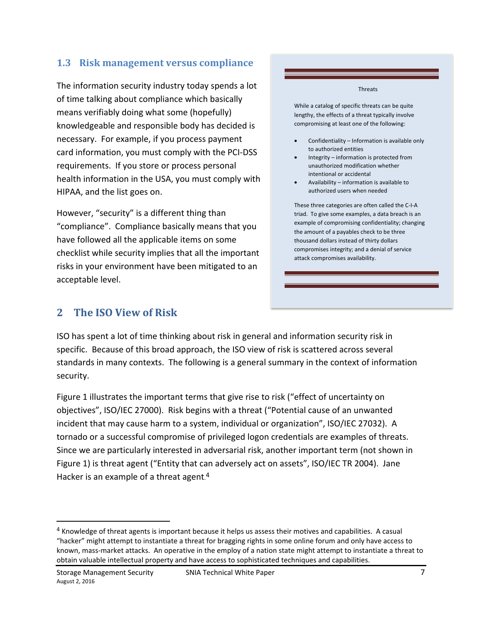#### **1.3 Risk management versus compliance**

The information security industry today spends a lot of time talking about compliance which basically means verifiably doing what some (hopefully) knowledgeable and responsible body has decided is necessary. For example, if you process payment card information, you must comply with the PCI-DSS requirements. If you store or process personal health information in the USA, you must comply with HIPAA, and the list goes on.

However, "security" is a different thing than "compliance". Compliance basically means that you have followed all the applicable items on some checklist while security implies that all the important risks in your environment have been mitigated to an acceptable level.

#### Threats

While a catalog of specific threats can be quite lengthy, the effects of a threat typically involve compromising at least one of the following:

- Confidentiality Information is available only to authorized entities
- Integrity information is protected from unauthorized modification whether intentional or accidental
- Availability information is available to authorized users when needed

These three categories are often called the C-I-A triad. To give some examples, a data breach is an example of compromising confidentiality; changing the amount of a payables check to be three thousand dollars instead of thirty dollars compromises integrity; and a denial of service attack compromises availability.

### **2 The ISO View of Risk**

ISO has spent a lot of time thinking about risk in general and information security risk in specific. Because of this broad approach, the ISO view of risk is scattered across several standards in many contexts. The following is a general summary in the context of information security.

Figure 1 illustrates the important terms that give rise to risk ("effect of uncertainty on objectives", ISO/IEC 27000). Risk begins with a threat ("Potential cause of an unwanted incident that may cause harm to a system, individual or organization", ISO/IEC 27032). A tornado or a successful compromise of privileged logon credentials are examples of threats. Since we are particularly interested in adversarial risk, another important term (not shown in Figure 1) is threat agent ("Entity that can adversely act on assets", ISO/IEC TR 2004). Jane Hacker is an example of a threat agent.<sup>4</sup>

<sup>4</sup> Knowledge of threat agents is important because it helps us assess their motives and capabilities. A casual "hacker" might attempt to instantiate a threat for bragging rights in some online forum and only have access to known, mass-market attacks. An operative in the employ of a nation state might attempt to instantiate a threat to obtain valuable intellectual property and have access to sophisticated techniques and capabilities.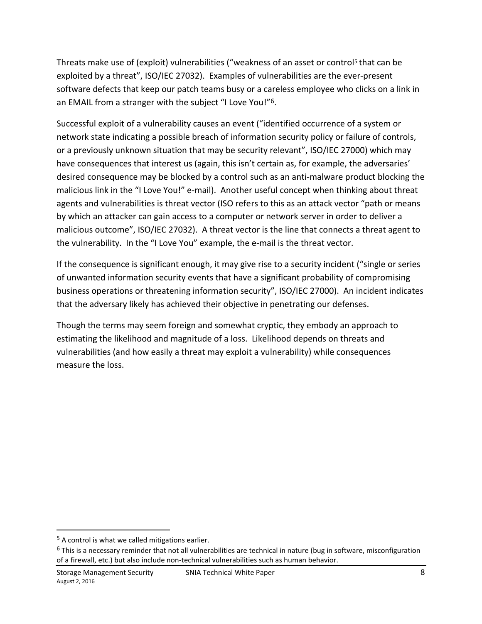Threats make use of (exploit) vulnerabilities ("weakness of an asset or control<sup>5</sup> that can be exploited by a threat", ISO/IEC 27032). Examples of vulnerabilities are the ever-present software defects that keep our patch teams busy or a careless employee who clicks on a link in an EMAIL from a stranger with the subject "I Love You!"6.

Successful exploit of a vulnerability causes an event ("identified occurrence of a system or network state indicating a possible breach of information security policy or failure of controls, or a previously unknown situation that may be security relevant", ISO/IEC 27000) which may have consequences that interest us (again, this isn't certain as, for example, the adversaries' desired consequence may be blocked by a control such as an anti-malware product blocking the malicious link in the "I Love You!" e-mail). Another useful concept when thinking about threat agents and vulnerabilities is threat vector (ISO refers to this as an attack vector "path or means by which an attacker can gain access to a computer or network server in order to deliver a malicious outcome", ISO/IEC 27032). A threat vector is the line that connects a threat agent to the vulnerability. In the "I Love You" example, the e-mail is the threat vector.

If the consequence is significant enough, it may give rise to a security incident ("single or series of unwanted information security events that have a significant probability of compromising business operations or threatening information security", ISO/IEC 27000). An incident indicates that the adversary likely has achieved their objective in penetrating our defenses.

Though the terms may seem foreign and somewhat cryptic, they embody an approach to estimating the likelihood and magnitude of a loss. Likelihood depends on threats and vulnerabilities (and how easily a threat may exploit a vulnerability) while consequences measure the loss.

<sup>5</sup> A control is what we called mitigations earlier.

 $6$  This is a necessary reminder that not all vulnerabilities are technical in nature (bug in software, misconfiguration of a firewall, etc.) but also include non-technical vulnerabilities such as human behavior.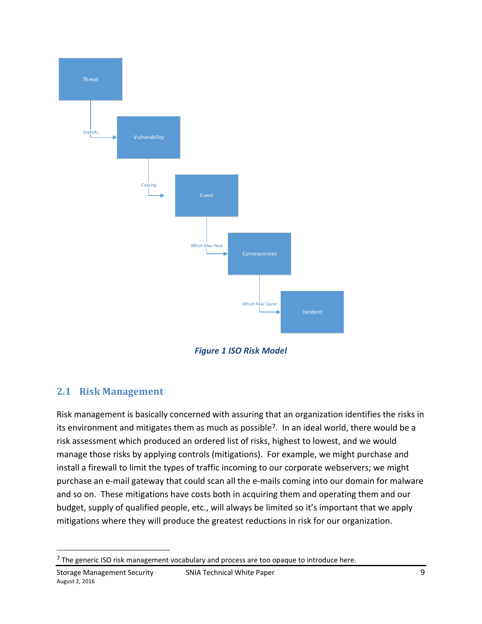

*Figure 1 ISO Risk Model* 

# **2.1 Risk Management**

Risk management is basically concerned with assuring that an organization identifies the risks in its environment and mitigates them as much as possible7. In an ideal world, there would be a risk assessment which produced an ordered list of risks, highest to lowest, and we would manage those risks by applying controls (mitigations). For example, we might purchase and install a firewall to limit the types of traffic incoming to our corporate webservers; we might purchase an e-mail gateway that could scan all the e-mails coming into our domain for malware and so on. These mitigations have costs both in acquiring them and operating them and our budget, supply of qualified people, etc., will always be limited so it's important that we apply mitigations where they will produce the greatest reductions in risk for our organization.

<sup>&</sup>lt;sup>7</sup> The generic ISO risk management vocabulary and process are too opaque to introduce here.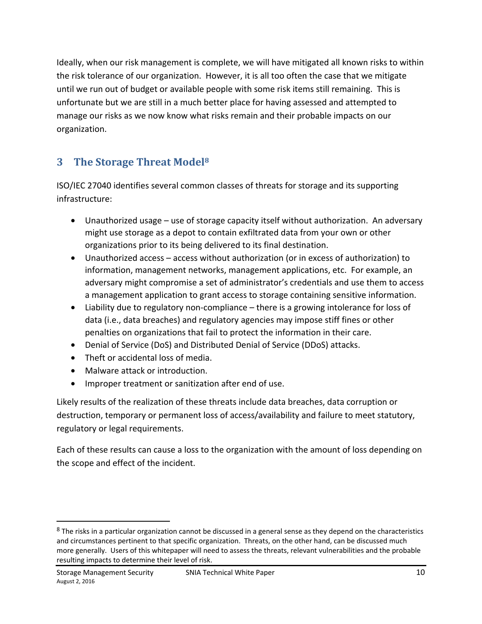Ideally, when our risk management is complete, we will have mitigated all known risks to within the risk tolerance of our organization. However, it is all too often the case that we mitigate until we run out of budget or available people with some risk items still remaining. This is unfortunate but we are still in a much better place for having assessed and attempted to manage our risks as we now know what risks remain and their probable impacts on our organization.

# **3 The Storage Threat Model8**

ISO/IEC 27040 identifies several common classes of threats for storage and its supporting infrastructure:

- Unauthorized usage use of storage capacity itself without authorization. An adversary might use storage as a depot to contain exfiltrated data from your own or other organizations prior to its being delivered to its final destination.
- Unauthorized access access without authorization (or in excess of authorization) to information, management networks, management applications, etc. For example, an adversary might compromise a set of administrator's credentials and use them to access a management application to grant access to storage containing sensitive information.
- Liability due to regulatory non-compliance there is a growing intolerance for loss of data (i.e., data breaches) and regulatory agencies may impose stiff fines or other penalties on organizations that fail to protect the information in their care.
- Denial of Service (DoS) and Distributed Denial of Service (DDoS) attacks.
- Theft or accidental loss of media.
- Malware attack or introduction.

 $\overline{\phantom{a}}$ 

• Improper treatment or sanitization after end of use.

Likely results of the realization of these threats include data breaches, data corruption or destruction, temporary or permanent loss of access/availability and failure to meet statutory, regulatory or legal requirements.

Each of these results can cause a loss to the organization with the amount of loss depending on the scope and effect of the incident.

<sup>&</sup>lt;sup>8</sup> The risks in a particular organization cannot be discussed in a general sense as they depend on the characteristics and circumstances pertinent to that specific organization. Threats, on the other hand, can be discussed much more generally. Users of this whitepaper will need to assess the threats, relevant vulnerabilities and the probable resulting impacts to determine their level of risk.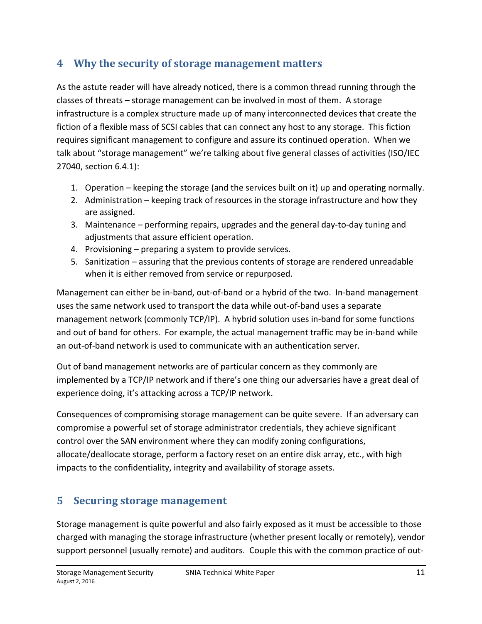# **4 Why the security of storage management matters**

As the astute reader will have already noticed, there is a common thread running through the classes of threats – storage management can be involved in most of them. A storage infrastructure is a complex structure made up of many interconnected devices that create the fiction of a flexible mass of SCSI cables that can connect any host to any storage. This fiction requires significant management to configure and assure its continued operation. When we talk about "storage management" we're talking about five general classes of activities (ISO/IEC 27040, section 6.4.1):

- 1. Operation keeping the storage (and the services built on it) up and operating normally.
- 2. Administration keeping track of resources in the storage infrastructure and how they are assigned.
- 3. Maintenance performing repairs, upgrades and the general day-to-day tuning and adjustments that assure efficient operation.
- 4. Provisioning preparing a system to provide services.
- 5. Sanitization assuring that the previous contents of storage are rendered unreadable when it is either removed from service or repurposed.

Management can either be in-band, out-of-band or a hybrid of the two. In-band management uses the same network used to transport the data while out-of-band uses a separate management network (commonly TCP/IP). A hybrid solution uses in-band for some functions and out of band for others. For example, the actual management traffic may be in-band while an out-of-band network is used to communicate with an authentication server.

Out of band management networks are of particular concern as they commonly are implemented by a TCP/IP network and if there's one thing our adversaries have a great deal of experience doing, it's attacking across a TCP/IP network.

Consequences of compromising storage management can be quite severe. If an adversary can compromise a powerful set of storage administrator credentials, they achieve significant control over the SAN environment where they can modify zoning configurations, allocate/deallocate storage, perform a factory reset on an entire disk array, etc., with high impacts to the confidentiality, integrity and availability of storage assets.

# **5 Securing storage management**

Storage management is quite powerful and also fairly exposed as it must be accessible to those charged with managing the storage infrastructure (whether present locally or remotely), vendor support personnel (usually remote) and auditors. Couple this with the common practice of out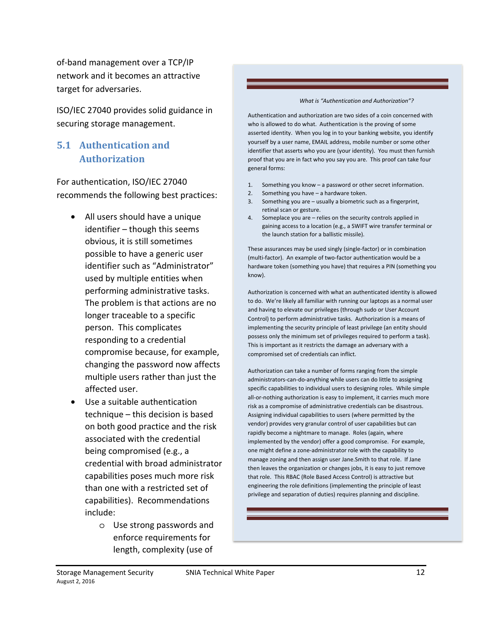of-band management over a TCP/IP network and it becomes an attractive target for adversaries.

ISO/IEC 27040 provides solid guidance in securing storage management.

### **5.1 Authentication and Authorization**

For authentication, ISO/IEC 27040 recommends the following best practices:

- All users should have a unique identifier – though this seems obvious, it is still sometimes possible to have a generic user identifier such as "Administrator" used by multiple entities when performing administrative tasks. The problem is that actions are no longer traceable to a specific person. This complicates responding to a credential compromise because, for example, changing the password now affects multiple users rather than just the affected user.
- Use a suitable authentication technique – this decision is based on both good practice and the risk associated with the credential being compromised (e.g., a credential with broad administrator capabilities poses much more risk than one with a restricted set of capabilities). Recommendations include:
	- o Use strong passwords and enforce requirements for length, complexity (use of

#### *What is "Authentication and Authorization"?*

Authentication and authorization are two sides of a coin concerned with who is allowed to do what. Authentication is the proving of some asserted identity. When you log in to your banking website, you identify yourself by a user name, EMAIL address, mobile number or some other identifier that asserts who you are (your identity). You must then furnish proof that you are in fact who you say you are. This proof can take four general forms:

- 1. Something you know a password or other secret information.
- 2. Something you have a hardware token.
- 3. Something you are usually a biometric such as a fingerprint, retinal scan or gesture.
- 4. Someplace you are relies on the security controls applied in gaining access to a location (e.g., a SWIFT wire transfer terminal or the launch station for a ballistic missile).

These assurances may be used singly (single-factor) or in combination (multi-factor). An example of two-factor authentication would be a hardware token (something you have) that requires a PIN (something you know).

Authorization is concerned with what an authenticated identity is allowed to do. We're likely all familiar with running our laptops as a normal user and having to elevate our privileges (through sudo or User Account Control) to perform administrative tasks. Authorization is a means of implementing the security principle of least privilege (an entity should possess only the minimum set of privileges required to perform a task). This is important as it restricts the damage an adversary with a compromised set of credentials can inflict.

Authorization can take a number of forms ranging from the simple administrators-can-do-anything while users can do little to assigning specific capabilities to individual users to designing roles. While simple all-or-nothing authorization is easy to implement, it carries much more risk as a compromise of administrative credentials can be disastrous. Assigning individual capabilities to users (where permitted by the vendor) provides very granular control of user capabilities but can rapidly become a nightmare to manage. Roles (again, where implemented by the vendor) offer a good compromise. For example, one might define a zone-administrator role with the capability to manage zoning and then assign user Jane.Smith to that role. If Jane then leaves the organization or changes jobs, it is easy to just remove that role. This RBAC (Role Based Access Control) is attractive but engineering the role definitions (implementing the principle of least privilege and separation of duties) requires planning and discipline.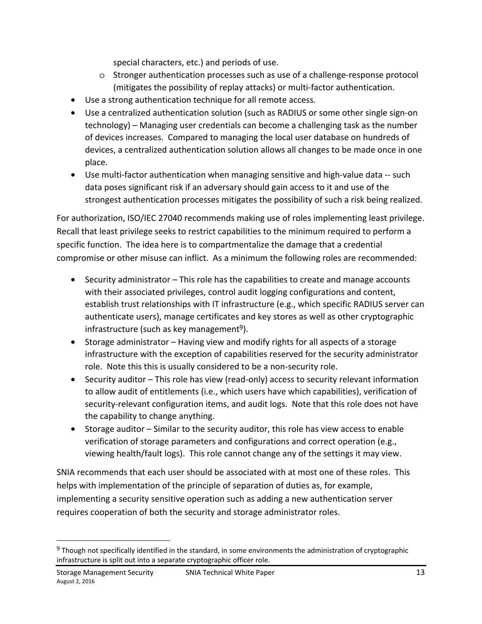special characters, etc.) and periods of use.

- o Stronger authentication processes such as use of a challenge-response protocol (mitigates the possibility of replay attacks) or multi-factor authentication.
- Use a strong authentication technique for all remote access.
- Use a centralized authentication solution (such as RADIUS or some other single sign-on technology) – Managing user credentials can become a challenging task as the number of devices increases. Compared to managing the local user database on hundreds of devices, a centralized authentication solution allows all changes to be made once in one place.
- Use multi-factor authentication when managing sensitive and high-value data -- such data poses significant risk if an adversary should gain access to it and use of the strongest authentication processes mitigates the possibility of such a risk being realized.

For authorization, ISO/IEC 27040 recommends making use of roles implementing least privilege. Recall that least privilege seeks to restrict capabilities to the minimum required to perform a specific function. The idea here is to compartmentalize the damage that a credential compromise or other misuse can inflict. As a minimum the following roles are recommended:

- Security administrator This role has the capabilities to create and manage accounts with their associated privileges, control audit logging configurations and content, establish trust relationships with IT infrastructure (e.g., which specific RADIUS server can authenticate users), manage certificates and key stores as well as other cryptographic infrastructure (such as key management<sup>9</sup>).
- Storage administrator Having view and modify rights for all aspects of a storage infrastructure with the exception of capabilities reserved for the security administrator role. Note this this is usually considered to be a non-security role.
- Security auditor This role has view (read-only) access to security relevant information to allow audit of entitlements (i.e., which users have which capabilities), verification of security-relevant configuration items, and audit logs. Note that this role does not have the capability to change anything.
- Storage auditor Similar to the security auditor, this role has view access to enable verification of storage parameters and configurations and correct operation (e.g., viewing health/fault logs). This role cannot change any of the settings it may view.

SNIA recommends that each user should be associated with at most one of these roles. This helps with implementation of the principle of separation of duties as, for example, implementing a security sensitive operation such as adding a new authentication server requires cooperation of both the security and storage administrator roles.

<sup>9</sup> Though not specifically identified in the standard, in some environments the administration of cryptographic infrastructure is split out into a separate cryptographic officer role.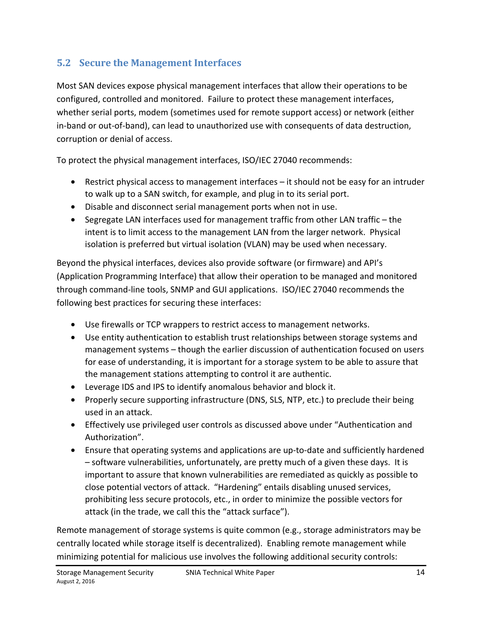# **5.2 Secure the Management Interfaces**

Most SAN devices expose physical management interfaces that allow their operations to be configured, controlled and monitored. Failure to protect these management interfaces, whether serial ports, modem (sometimes used for remote support access) or network (either in-band or out-of-band), can lead to unauthorized use with consequents of data destruction, corruption or denial of access.

To protect the physical management interfaces, ISO/IEC 27040 recommends:

- Restrict physical access to management interfaces it should not be easy for an intruder to walk up to a SAN switch, for example, and plug in to its serial port.
- Disable and disconnect serial management ports when not in use.
- Segregate LAN interfaces used for management traffic from other LAN traffic the intent is to limit access to the management LAN from the larger network. Physical isolation is preferred but virtual isolation (VLAN) may be used when necessary.

Beyond the physical interfaces, devices also provide software (or firmware) and API's (Application Programming Interface) that allow their operation to be managed and monitored through command-line tools, SNMP and GUI applications. ISO/IEC 27040 recommends the following best practices for securing these interfaces:

- Use firewalls or TCP wrappers to restrict access to management networks.
- Use entity authentication to establish trust relationships between storage systems and management systems – though the earlier discussion of authentication focused on users for ease of understanding, it is important for a storage system to be able to assure that the management stations attempting to control it are authentic.
- Leverage IDS and IPS to identify anomalous behavior and block it.
- Properly secure supporting infrastructure (DNS, SLS, NTP, etc.) to preclude their being used in an attack.
- Effectively use privileged user controls as discussed above under "Authentication and Authorization".
- Ensure that operating systems and applications are up-to-date and sufficiently hardened – software vulnerabilities, unfortunately, are pretty much of a given these days. It is important to assure that known vulnerabilities are remediated as quickly as possible to close potential vectors of attack. "Hardening" entails disabling unused services, prohibiting less secure protocols, etc., in order to minimize the possible vectors for attack (in the trade, we call this the "attack surface").

Remote management of storage systems is quite common (e.g., storage administrators may be centrally located while storage itself is decentralized). Enabling remote management while minimizing potential for malicious use involves the following additional security controls: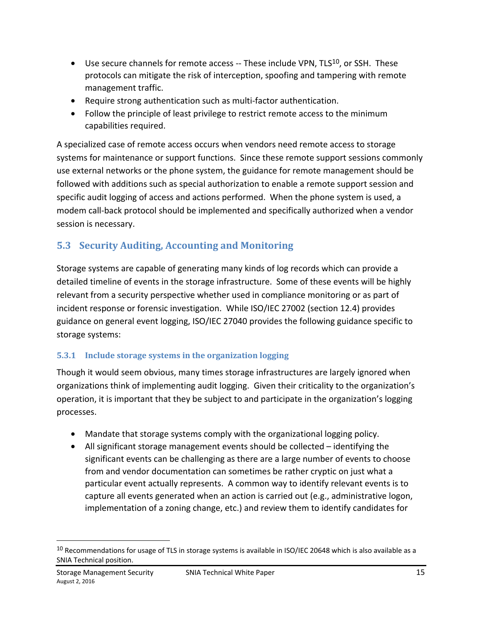- Use secure channels for remote access  $-$  These include VPN, TLS $^{10}$ , or SSH. These protocols can mitigate the risk of interception, spoofing and tampering with remote management traffic.
- Require strong authentication such as multi-factor authentication.
- Follow the principle of least privilege to restrict remote access to the minimum capabilities required.

A specialized case of remote access occurs when vendors need remote access to storage systems for maintenance or support functions. Since these remote support sessions commonly use external networks or the phone system, the guidance for remote management should be followed with additions such as special authorization to enable a remote support session and specific audit logging of access and actions performed. When the phone system is used, a modem call-back protocol should be implemented and specifically authorized when a vendor session is necessary.

# **5.3 Security Auditing, Accounting and Monitoring**

Storage systems are capable of generating many kinds of log records which can provide a detailed timeline of events in the storage infrastructure. Some of these events will be highly relevant from a security perspective whether used in compliance monitoring or as part of incident response or forensic investigation. While ISO/IEC 27002 (section 12.4) provides guidance on general event logging, ISO/IEC 27040 provides the following guidance specific to storage systems:

### **5.3.1 Include storage systems in the organization logging**

Though it would seem obvious, many times storage infrastructures are largely ignored when organizations think of implementing audit logging. Given their criticality to the organization's operation, it is important that they be subject to and participate in the organization's logging processes.

- Mandate that storage systems comply with the organizational logging policy.
- All significant storage management events should be collected identifying the significant events can be challenging as there are a large number of events to choose from and vendor documentation can sometimes be rather cryptic on just what a particular event actually represents. A common way to identify relevant events is to capture all events generated when an action is carried out (e.g., administrative logon, implementation of a zoning change, etc.) and review them to identify candidates for

 $10$  Recommendations for usage of TLS in storage systems is available in ISO/IEC 20648 which is also available as a SNIA Technical position.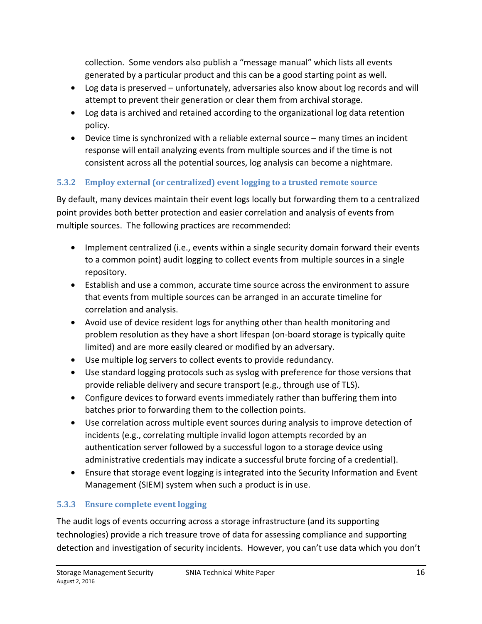collection. Some vendors also publish a "message manual" which lists all events generated by a particular product and this can be a good starting point as well.

- Log data is preserved unfortunately, adversaries also know about log records and will attempt to prevent their generation or clear them from archival storage.
- Log data is archived and retained according to the organizational log data retention policy.
- Device time is synchronized with a reliable external source many times an incident response will entail analyzing events from multiple sources and if the time is not consistent across all the potential sources, log analysis can become a nightmare.

### **5.3.2 Employ external (or centralized) event logging to a trusted remote source**

By default, many devices maintain their event logs locally but forwarding them to a centralized point provides both better protection and easier correlation and analysis of events from multiple sources. The following practices are recommended:

- Implement centralized (i.e., events within a single security domain forward their events to a common point) audit logging to collect events from multiple sources in a single repository.
- Establish and use a common, accurate time source across the environment to assure that events from multiple sources can be arranged in an accurate timeline for correlation and analysis.
- Avoid use of device resident logs for anything other than health monitoring and problem resolution as they have a short lifespan (on-board storage is typically quite limited) and are more easily cleared or modified by an adversary.
- Use multiple log servers to collect events to provide redundancy.
- Use standard logging protocols such as syslog with preference for those versions that provide reliable delivery and secure transport (e.g., through use of TLS).
- Configure devices to forward events immediately rather than buffering them into batches prior to forwarding them to the collection points.
- Use correlation across multiple event sources during analysis to improve detection of incidents (e.g., correlating multiple invalid logon attempts recorded by an authentication server followed by a successful logon to a storage device using administrative credentials may indicate a successful brute forcing of a credential).
- Ensure that storage event logging is integrated into the Security Information and Event Management (SIEM) system when such a product is in use.

# **5.3.3 Ensure complete event logging**

The audit logs of events occurring across a storage infrastructure (and its supporting technologies) provide a rich treasure trove of data for assessing compliance and supporting detection and investigation of security incidents. However, you can't use data which you don't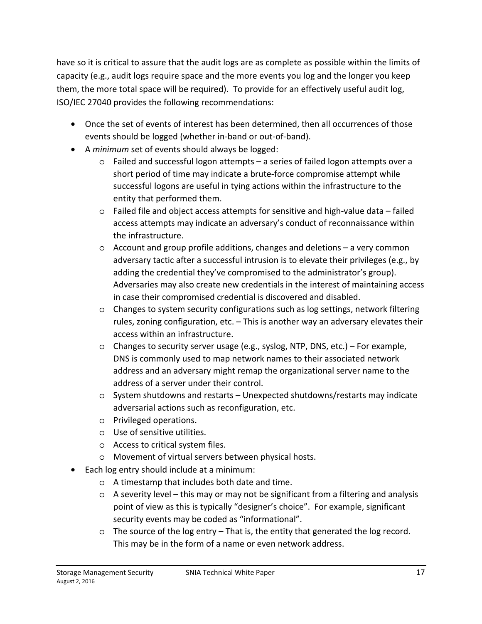have so it is critical to assure that the audit logs are as complete as possible within the limits of capacity (e.g., audit logs require space and the more events you log and the longer you keep them, the more total space will be required). To provide for an effectively useful audit log, ISO/IEC 27040 provides the following recommendations:

- Once the set of events of interest has been determined, then all occurrences of those events should be logged (whether in-band or out-of-band).
- A *minimum* set of events should always be logged:
	- o Failed and successful logon attempts a series of failed logon attempts over a short period of time may indicate a brute-force compromise attempt while successful logons are useful in tying actions within the infrastructure to the entity that performed them.
	- o Failed file and object access attempts for sensitive and high-value data failed access attempts may indicate an adversary's conduct of reconnaissance within the infrastructure.
	- $\circ$  Account and group profile additions, changes and deletions  $-$  a very common adversary tactic after a successful intrusion is to elevate their privileges (e.g., by adding the credential they've compromised to the administrator's group). Adversaries may also create new credentials in the interest of maintaining access in case their compromised credential is discovered and disabled.
	- o Changes to system security configurations such as log settings, network filtering rules, zoning configuration, etc. – This is another way an adversary elevates their access within an infrastructure.
	- o Changes to security server usage (e.g., syslog, NTP, DNS, etc.) For example, DNS is commonly used to map network names to their associated network address and an adversary might remap the organizational server name to the address of a server under their control.
	- o System shutdowns and restarts Unexpected shutdowns/restarts may indicate adversarial actions such as reconfiguration, etc.
	- o Privileged operations.
	- o Use of sensitive utilities.
	- o Access to critical system files.
	- o Movement of virtual servers between physical hosts.
- Each log entry should include at a minimum:
	- o A timestamp that includes both date and time.
	- $\circ$  A severity level this may or may not be significant from a filtering and analysis point of view as this is typically "designer's choice". For example, significant security events may be coded as "informational".
	- $\circ$  The source of the log entry That is, the entity that generated the log record. This may be in the form of a name or even network address.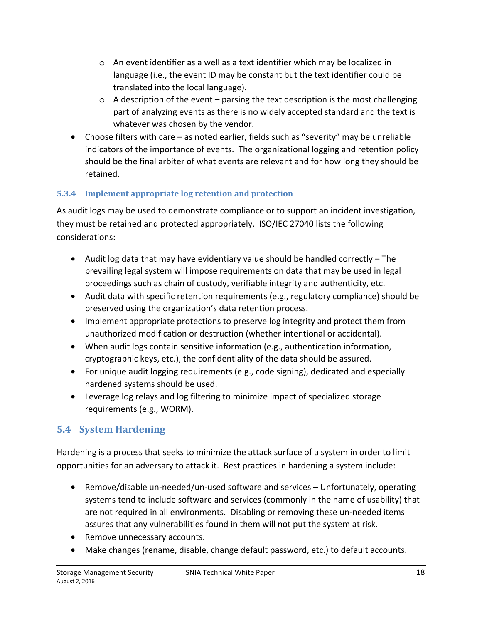- o An event identifier as a well as a text identifier which may be localized in language (i.e., the event ID may be constant but the text identifier could be translated into the local language).
- $\circ$  A description of the event parsing the text description is the most challenging part of analyzing events as there is no widely accepted standard and the text is whatever was chosen by the vendor.
- Choose filters with care as noted earlier, fields such as "severity" may be unreliable indicators of the importance of events. The organizational logging and retention policy should be the final arbiter of what events are relevant and for how long they should be retained.

### **5.3.4 Implement appropriate log retention and protection**

As audit logs may be used to demonstrate compliance or to support an incident investigation, they must be retained and protected appropriately. ISO/IEC 27040 lists the following considerations:

- Audit log data that may have evidentiary value should be handled correctly The prevailing legal system will impose requirements on data that may be used in legal proceedings such as chain of custody, verifiable integrity and authenticity, etc.
- Audit data with specific retention requirements (e.g., regulatory compliance) should be preserved using the organization's data retention process.
- Implement appropriate protections to preserve log integrity and protect them from unauthorized modification or destruction (whether intentional or accidental).
- When audit logs contain sensitive information (e.g., authentication information, cryptographic keys, etc.), the confidentiality of the data should be assured.
- For unique audit logging requirements (e.g., code signing), dedicated and especially hardened systems should be used.
- Leverage log relays and log filtering to minimize impact of specialized storage requirements (e.g., WORM).

# **5.4 System Hardening**

Hardening is a process that seeks to minimize the attack surface of a system in order to limit opportunities for an adversary to attack it. Best practices in hardening a system include:

- Remove/disable un-needed/un-used software and services Unfortunately, operating systems tend to include software and services (commonly in the name of usability) that are not required in all environments. Disabling or removing these un-needed items assures that any vulnerabilities found in them will not put the system at risk.
- Remove unnecessary accounts.
- Make changes (rename, disable, change default password, etc.) to default accounts.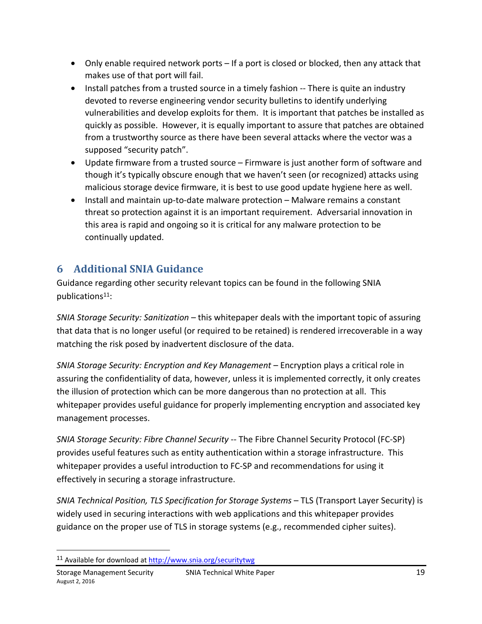- Only enable required network ports If a port is closed or blocked, then any attack that makes use of that port will fail.
- Install patches from a trusted source in a timely fashion -- There is quite an industry devoted to reverse engineering vendor security bulletins to identify underlying vulnerabilities and develop exploits for them. It is important that patches be installed as quickly as possible. However, it is equally important to assure that patches are obtained from a trustworthy source as there have been several attacks where the vector was a supposed "security patch".
- Update firmware from a trusted source Firmware is just another form of software and though it's typically obscure enough that we haven't seen (or recognized) attacks using malicious storage device firmware, it is best to use good update hygiene here as well.
- Install and maintain up-to-date malware protection Malware remains a constant threat so protection against it is an important requirement. Adversarial innovation in this area is rapid and ongoing so it is critical for any malware protection to be continually updated.

# **6 Additional SNIA Guidance**

Guidance regarding other security relevant topics can be found in the following SNIA publications11:

*SNIA Storage Security: Sanitization* – this whitepaper deals with the important topic of assuring that data that is no longer useful (or required to be retained) is rendered irrecoverable in a way matching the risk posed by inadvertent disclosure of the data.

*SNIA Storage Security: Encryption and Key Management* – Encryption plays a critical role in assuring the confidentiality of data, however, unless it is implemented correctly, it only creates the illusion of protection which can be more dangerous than no protection at all. This whitepaper provides useful guidance for properly implementing encryption and associated key management processes.

*SNIA Storage Security: Fibre Channel Security* -- The Fibre Channel Security Protocol (FC-SP) provides useful features such as entity authentication within a storage infrastructure. This whitepaper provides a useful introduction to FC-SP and recommendations for using it effectively in securing a storage infrastructure.

*SNIA Technical Position, TLS Specification for Storage Systems – TLS (Transport Layer Security) is* widely used in securing interactions with web applications and this whitepaper provides guidance on the proper use of TLS in storage systems (e.g., recommended cipher suites).

<sup>11</sup> Available for download at http://www.snia.org/securitytwg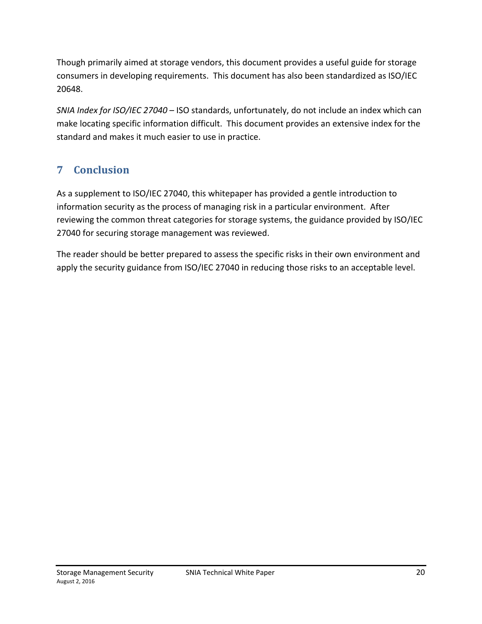Though primarily aimed at storage vendors, this document provides a useful guide for storage consumers in developing requirements. This document has also been standardized as ISO/IEC 20648.

*SNIA Index for ISO/IEC 27040* – ISO standards, unfortunately, do not include an index which can make locating specific information difficult. This document provides an extensive index for the standard and makes it much easier to use in practice.

# **7 Conclusion**

As a supplement to ISO/IEC 27040, this whitepaper has provided a gentle introduction to information security as the process of managing risk in a particular environment. After reviewing the common threat categories for storage systems, the guidance provided by ISO/IEC 27040 for securing storage management was reviewed.

The reader should be better prepared to assess the specific risks in their own environment and apply the security guidance from ISO/IEC 27040 in reducing those risks to an acceptable level.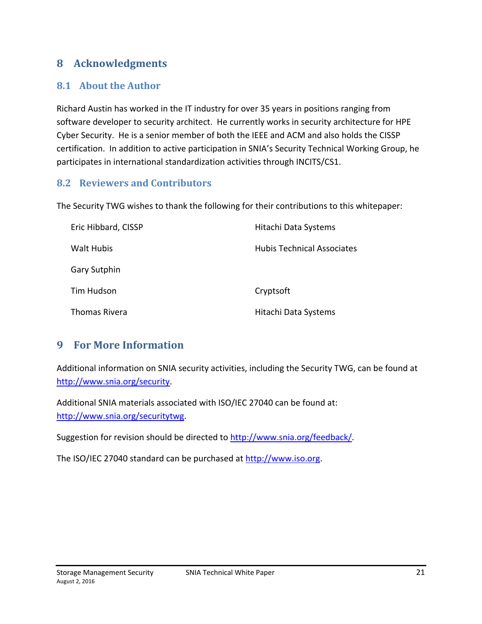### **8 Acknowledgments**

#### **8.1 About the Author**

Richard Austin has worked in the IT industry for over 35 years in positions ranging from software developer to security architect. He currently works in security architecture for HPE Cyber Security. He is a senior member of both the IEEE and ACM and also holds the CISSP certification. In addition to active participation in SNIA's Security Technical Working Group, he participates in international standardization activities through INCITS/CS1.

#### **8.2 Reviewers and Contributors**

The Security TWG wishes to thank the following for their contributions to this whitepaper:

| Eric Hibbard, CISSP | Hitachi Data Systems              |
|---------------------|-----------------------------------|
| Walt Hubis          | <b>Hubis Technical Associates</b> |
| Gary Sutphin        |                                   |
| Tim Hudson          | Cryptsoft                         |
| Thomas Rivera       | Hitachi Data Systems              |

### **9 For More Information**

Additional information on SNIA security activities, including the Security TWG, can be found at http://www.snia.org/security.

Additional SNIA materials associated with ISO/IEC 27040 can be found at: http://www.snia.org/securitytwg.

Suggestion for revision should be directed to http://www.snia.org/feedback/.

The ISO/IEC 27040 standard can be purchased at http://www.iso.org.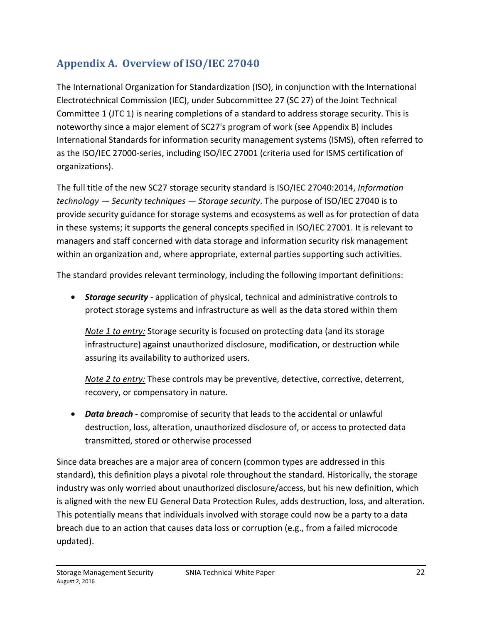# **Appendix A. Overview of ISO/IEC 27040**

The International Organization for Standardization (ISO), in conjunction with the International Electrotechnical Commission (IEC), under Subcommittee 27 (SC 27) of the Joint Technical Committee 1 (JTC 1) is nearing completions of a standard to address storage security. This is noteworthy since a major element of SC27's program of work (see Appendix B) includes International Standards for information security management systems (ISMS), often referred to as the ISO/IEC 27000-series, including ISO/IEC 27001 (criteria used for ISMS certification of organizations).

The full title of the new SC27 storage security standard is ISO/IEC 27040:2014, *Information technology — Security techniques — Storage security*. The purpose of ISO/IEC 27040 is to provide security guidance for storage systems and ecosystems as well as for protection of data in these systems; it supports the general concepts specified in ISO/IEC 27001. It is relevant to managers and staff concerned with data storage and information security risk management within an organization and, where appropriate, external parties supporting such activities.

The standard provides relevant terminology, including the following important definitions:

• *Storage security* - application of physical, technical and administrative controls to protect storage systems and infrastructure as well as the data stored within them

*Note 1 to entry:* Storage security is focused on protecting data (and its storage infrastructure) against unauthorized disclosure, modification, or destruction while assuring its availability to authorized users.

*Note 2 to entry:* These controls may be preventive, detective, corrective, deterrent, recovery, or compensatory in nature.

• *Data breach* - compromise of security that leads to the accidental or unlawful destruction, loss, alteration, unauthorized disclosure of, or access to protected data transmitted, stored or otherwise processed

Since data breaches are a major area of concern (common types are addressed in this standard), this definition plays a pivotal role throughout the standard. Historically, the storage industry was only worried about unauthorized disclosure/access, but his new definition, which is aligned with the new EU General Data Protection Rules, adds destruction, loss, and alteration. This potentially means that individuals involved with storage could now be a party to a data breach due to an action that causes data loss or corruption (e.g., from a failed microcode updated).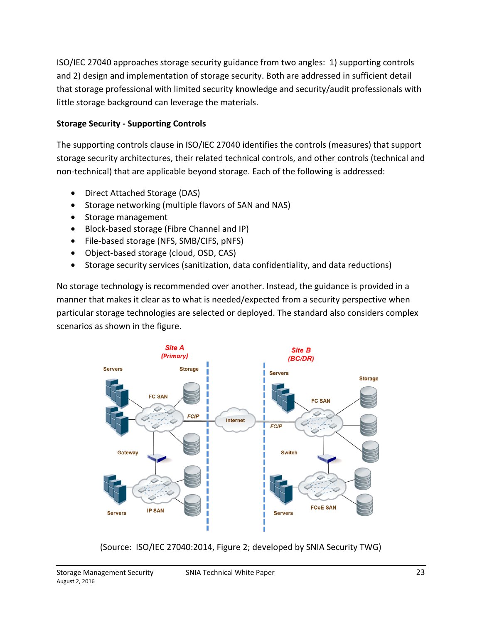ISO/IEC 27040 approaches storage security guidance from two angles: 1) supporting controls and 2) design and implementation of storage security. Both are addressed in sufficient detail that storage professional with limited security knowledge and security/audit professionals with little storage background can leverage the materials.

#### **Storage Security - Supporting Controls**

The supporting controls clause in ISO/IEC 27040 identifies the controls (measures) that support storage security architectures, their related technical controls, and other controls (technical and non-technical) that are applicable beyond storage. Each of the following is addressed:

- Direct Attached Storage (DAS)
- Storage networking (multiple flavors of SAN and NAS)
- Storage management
- Block-based storage (Fibre Channel and IP)
- File-based storage (NFS, SMB/CIFS, pNFS)
- Object-based storage (cloud, OSD, CAS)
- Storage security services (sanitization, data confidentiality, and data reductions)

No storage technology is recommended over another. Instead, the guidance is provided in a manner that makes it clear as to what is needed/expected from a security perspective when particular storage technologies are selected or deployed. The standard also considers complex scenarios as shown in the figure.



(Source: ISO/IEC 27040:2014, Figure 2; developed by SNIA Security TWG)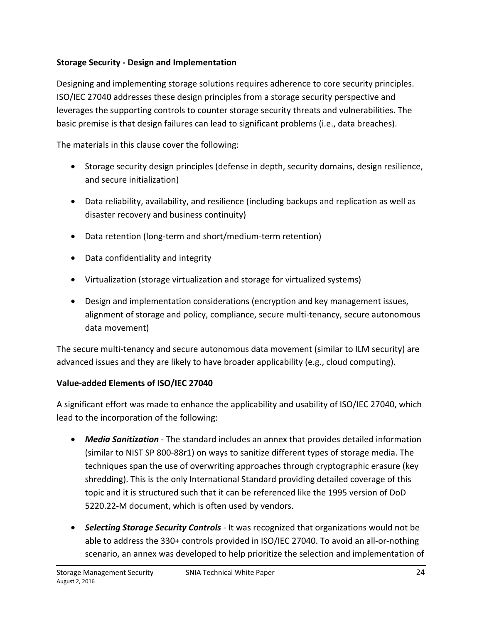#### **Storage Security - Design and Implementation**

Designing and implementing storage solutions requires adherence to core security principles. ISO/IEC 27040 addresses these design principles from a storage security perspective and leverages the supporting controls to counter storage security threats and vulnerabilities. The basic premise is that design failures can lead to significant problems (i.e., data breaches).

The materials in this clause cover the following:

- Storage security design principles (defense in depth, security domains, design resilience, and secure initialization)
- Data reliability, availability, and resilience (including backups and replication as well as disaster recovery and business continuity)
- Data retention (long-term and short/medium-term retention)
- Data confidentiality and integrity
- Virtualization (storage virtualization and storage for virtualized systems)
- Design and implementation considerations (encryption and key management issues, alignment of storage and policy, compliance, secure multi-tenancy, secure autonomous data movement)

The secure multi-tenancy and secure autonomous data movement (similar to ILM security) are advanced issues and they are likely to have broader applicability (e.g., cloud computing).

#### **Value-added Elements of ISO/IEC 27040**

A significant effort was made to enhance the applicability and usability of ISO/IEC 27040, which lead to the incorporation of the following:

- *Media Sanitization* The standard includes an annex that provides detailed information (similar to NIST SP 800-88r1) on ways to sanitize different types of storage media. The techniques span the use of overwriting approaches through cryptographic erasure (key shredding). This is the only International Standard providing detailed coverage of this topic and it is structured such that it can be referenced like the 1995 version of DoD 5220.22-M document, which is often used by vendors.
- *Selecting Storage Security Controls* It was recognized that organizations would not be able to address the 330+ controls provided in ISO/IEC 27040. To avoid an all-or-nothing scenario, an annex was developed to help prioritize the selection and implementation of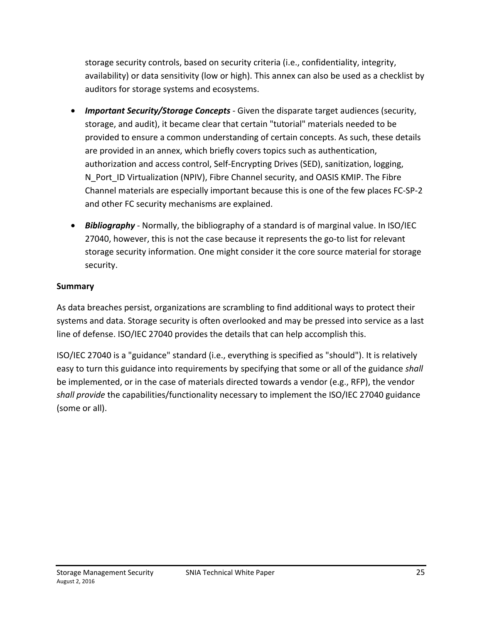storage security controls, based on security criteria (i.e., confidentiality, integrity, availability) or data sensitivity (low or high). This annex can also be used as a checklist by auditors for storage systems and ecosystems.

- *Important Security/Storage Concepts* Given the disparate target audiences (security, storage, and audit), it became clear that certain "tutorial" materials needed to be provided to ensure a common understanding of certain concepts. As such, these details are provided in an annex, which briefly covers topics such as authentication, authorization and access control, Self-Encrypting Drives (SED), sanitization, logging, N Port ID Virtualization (NPIV), Fibre Channel security, and OASIS KMIP. The Fibre Channel materials are especially important because this is one of the few places FC-SP-2 and other FC security mechanisms are explained.
- *Bibliography* Normally, the bibliography of a standard is of marginal value. In ISO/IEC 27040, however, this is not the case because it represents the go-to list for relevant storage security information. One might consider it the core source material for storage security.

#### **Summary**

As data breaches persist, organizations are scrambling to find additional ways to protect their systems and data. Storage security is often overlooked and may be pressed into service as a last line of defense. ISO/IEC 27040 provides the details that can help accomplish this.

ISO/IEC 27040 is a "guidance" standard (i.e., everything is specified as "should"). It is relatively easy to turn this guidance into requirements by specifying that some or all of the guidance *shall* be implemented, or in the case of materials directed towards a vendor (e.g., RFP), the vendor *shall provide* the capabilities/functionality necessary to implement the ISO/IEC 27040 guidance (some or all).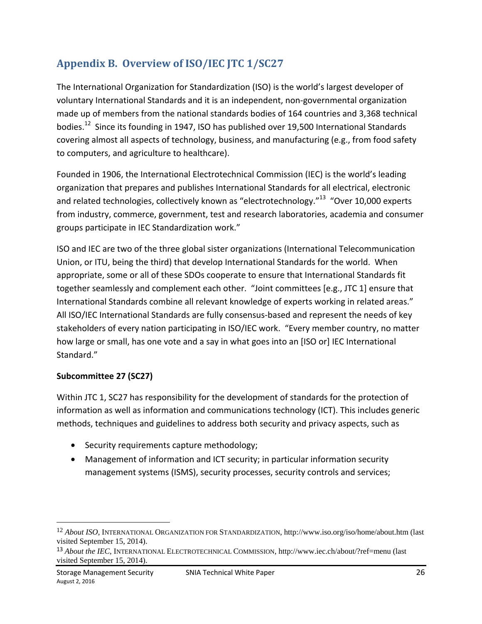# **Appendix B. Overview of ISO/IEC JTC 1/SC27**

The International Organization for Standardization (ISO) is the world's largest developer of voluntary International Standards and it is an independent, non-governmental organization made up of members from the national standards bodies of 164 countries and 3,368 technical bodies.12 Since its founding in 1947, ISO has published over 19,500 International Standards covering almost all aspects of technology, business, and manufacturing (e.g., from food safety to computers, and agriculture to healthcare).

Founded in 1906, the International Electrotechnical Commission (IEC) is the world's leading organization that prepares and publishes International Standards for all electrical, electronic and related technologies, collectively known as "electrotechnology."<sup>13</sup> "Over 10,000 experts from industry, commerce, government, test and research laboratories, academia and consumer groups participate in IEC Standardization work."

ISO and IEC are two of the three global sister organizations (International Telecommunication Union, or ITU, being the third) that develop International Standards for the world. When appropriate, some or all of these SDOs cooperate to ensure that International Standards fit together seamlessly and complement each other. "Joint committees [e.g., JTC 1] ensure that International Standards combine all relevant knowledge of experts working in related areas." All ISO/IEC International Standards are fully consensus-based and represent the needs of key stakeholders of every nation participating in ISO/IEC work. "Every member country, no matter how large or small, has one vote and a say in what goes into an [ISO or] IEC International Standard."

#### **Subcommittee 27 (SC27)**

 $\overline{\phantom{a}}$ 

Within JTC 1, SC27 has responsibility for the development of standards for the protection of information as well as information and communications technology (ICT). This includes generic methods, techniques and guidelines to address both security and privacy aspects, such as

- Security requirements capture methodology;
- Management of information and ICT security; in particular information security management systems (ISMS), security processes, security controls and services;

<sup>12</sup> *About ISO*, INTERNATIONAL ORGANIZATION FOR STANDARDIZATION, http://www.iso.org/iso/home/about.htm (last visited September 15, 2014).

<sup>13</sup> *About the IEC*, INTERNATIONAL ELECTROTECHNICAL COMMISSION, http://www.iec.ch/about/?ref=menu (last visited September 15, 2014).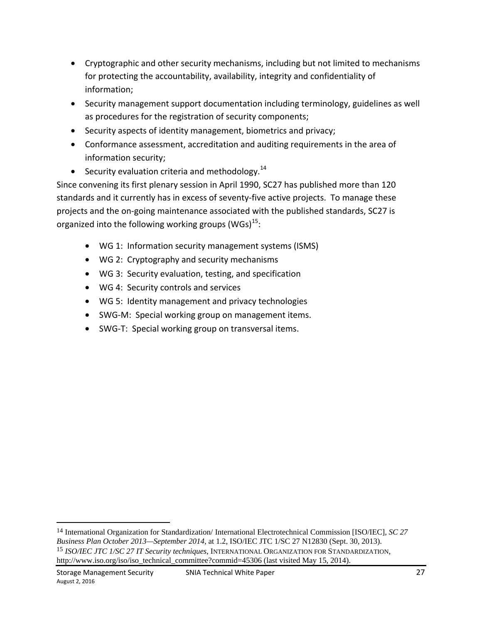- Cryptographic and other security mechanisms, including but not limited to mechanisms for protecting the accountability, availability, integrity and confidentiality of information;
- Security management support documentation including terminology, guidelines as well as procedures for the registration of security components;
- Security aspects of identity management, biometrics and privacy;
- Conformance assessment, accreditation and auditing requirements in the area of information security;
- Security evaluation criteria and methodology. $^{14}$

Since convening its first plenary session in April 1990, SC27 has published more than 120 standards and it currently has in excess of seventy-five active projects. To manage these projects and the on-going maintenance associated with the published standards, SC27 is organized into the following working groups (WGs) $^{15}$ :

- WG 1: Information security management systems (ISMS)
- WG 2: Cryptography and security mechanisms
- WG 3: Security evaluation, testing, and specification
- WG 4: Security controls and services
- WG 5: Identity management and privacy technologies
- SWG-M: Special working group on management items.
- SWG-T: Special working group on transversal items.

<sup>14</sup> International Organization for Standardization/ International Electrotechnical Commission [ISO/IEC], *SC 27 Business Plan October 2013—September 2014*, at 1.2, ISO/IEC JTC 1/SC 27 N12830 (Sept. 30, 2013). 15 *ISO/IEC JTC 1/SC 27 IT Security techniques*, INTERNATIONAL ORGANIZATION FOR STANDARDIZATION, http://www.iso.org/iso/iso\_technical\_committee?commid=45306 (last visited May 15, 2014).